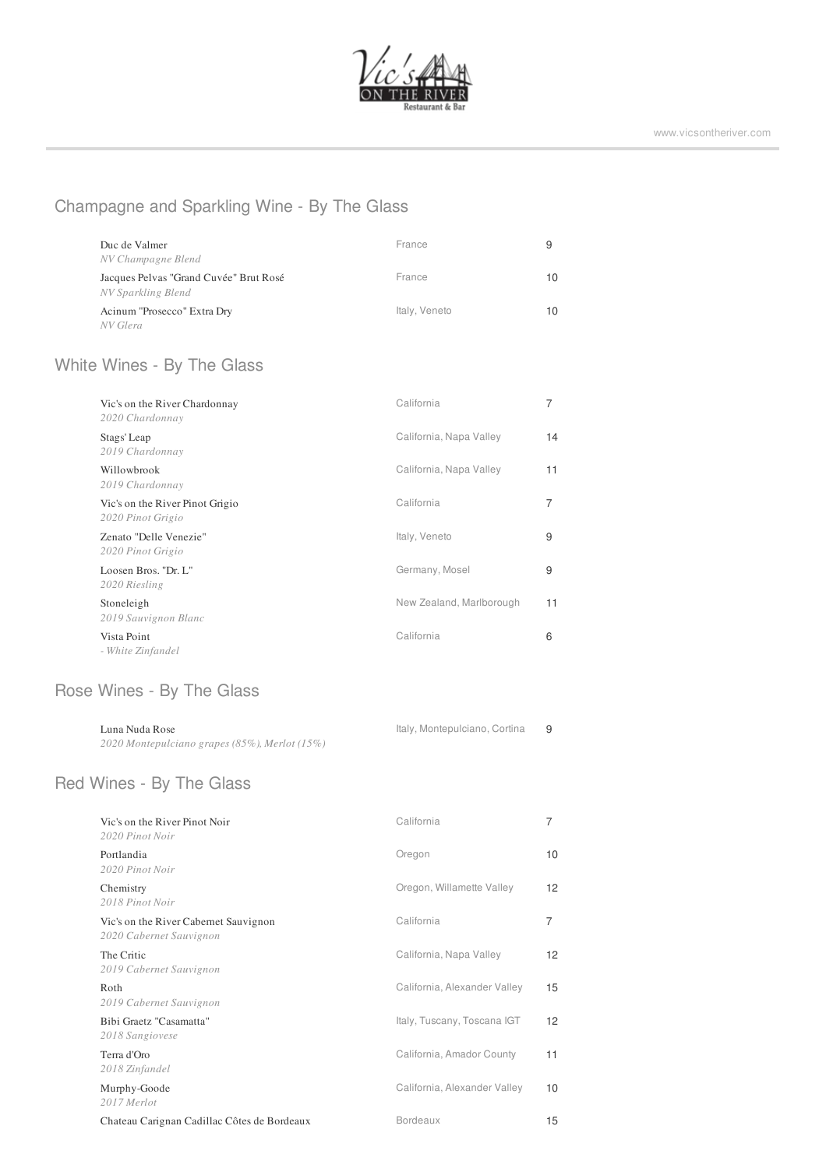

## Champagne and Sparkling Wine - By The Glass

| Duc de Valmer<br>NV Champagne Blend                          | France        | 9  |
|--------------------------------------------------------------|---------------|----|
| Jacques Pelvas "Grand Cuvée" Brut Rosé<br>NV Sparkling Blend | France        | 10 |
| Acinum "Prosecco" Extra Dry<br>NV Glera                      | Italy, Veneto | 10 |

## White Wines - By The Glass

| Vic's on the River Chardonnay<br>2020 Chardonnay     | California               | 7  |
|------------------------------------------------------|--------------------------|----|
| Stags' Leap<br>2019 Chardonnay                       | California, Napa Valley  | 14 |
| Willowbrook<br>2019 Chardonnay                       | California, Napa Valley  | 11 |
| Vic's on the River Pinot Grigio<br>2020 Pinot Grigio | California               | 7  |
| Zenato "Delle Venezie"<br>2020 Pinot Grigio          | Italy, Veneto            | 9  |
| Loosen Bros. "Dr. L"<br>2020 Riesling                | Germany, Mosel           | 9  |
| Stoneleigh<br>2019 Sauvignon Blanc                   | New Zealand, Marlborough | 11 |
| Vista Point<br>- White Zinfandel                     | California               | 6  |

## Rose Wines - By The Glass

| Luna Nuda Rose                                   | Italy, Montepulciano, Cortina |  |
|--------------------------------------------------|-------------------------------|--|
| 2020 Montepulciano grapes (85%), Merlot $(15\%)$ |                               |  |

#### Red Wines - By The Glass

| Vic's on the River Pinot Noir<br>2020 Pinot Noir                 | California                   | 7                 |
|------------------------------------------------------------------|------------------------------|-------------------|
| Portlandia<br>2020 Pinot Noir                                    | Oregon                       | 10                |
| Chemistry<br>2018 Pinot Noir                                     | Oregon, Willamette Valley    | 12 <sup>°</sup>   |
| Vic's on the River Cabernet Sauvignon<br>2020 Cabernet Sauvignon | California                   | $\overline{7}$    |
| The Critic<br>2019 Cabernet Sauvignon                            | California, Napa Valley      | 12 <sup>°</sup>   |
| Roth<br>2019 Cabernet Sauvignon                                  | California, Alexander Valley | 15                |
| Bibi Graetz "Casamatta"<br>2018 Sangiovese                       | Italy, Tuscany, Toscana IGT  | $12 \overline{ }$ |
| Terra d'Oro<br>2018 Zinfandel                                    | California, Amador County    | 11                |
| Murphy-Goode<br>2017 Merlot                                      | California, Alexander Valley | 10                |
| Chateau Carignan Cadillac Côtes de Bordeaux                      | <b>Bordeaux</b>              | 15                |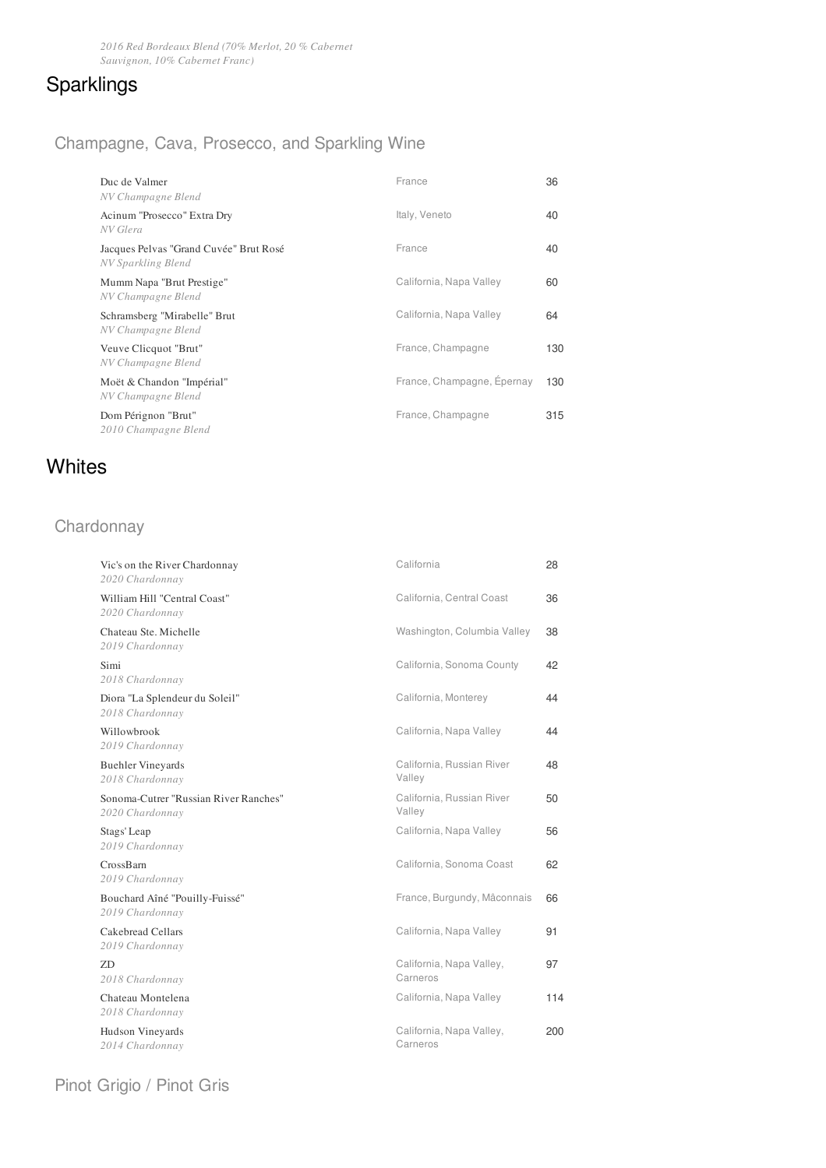## Sparklings

### Champagne, Cava, Prosecco, and Sparkling Wine

| Duc de Valmer<br>NV Champagne Blend                          | France                     | 36  |
|--------------------------------------------------------------|----------------------------|-----|
| Acinum "Prosecco" Extra Dry<br>NV Glera                      | Italy, Veneto              | 40  |
| Jacques Pelvas "Grand Cuvée" Brut Rosé<br>NV Sparkling Blend | France                     | 40  |
| Mumm Napa "Brut Prestige"<br>NV Champagne Blend              | California, Napa Valley    | 60  |
| Schramsberg "Mirabelle" Brut<br>NV Champagne Blend           | California, Napa Valley    | 64  |
| Veuve Clicquot "Brut"<br>NV Champagne Blend                  | France, Champagne          | 130 |
| Moët & Chandon "Impérial"<br>NV Champagne Blend              | France, Champagne, Epernay | 130 |
| Dom Pérignon "Brut"<br>2010 Champagne Blend                  | France, Champagne          | 315 |

## **Whites**

## Chardonnay

| Vic's on the River Chardonnay<br>2020 Chardonnay         | California                           | 28  |
|----------------------------------------------------------|--------------------------------------|-----|
| William Hill "Central Coast"<br>2020 Chardonnay          | California, Central Coast            | 36  |
| Chateau Ste. Michelle<br>2019 Chardonnay                 | Washington, Columbia Valley          | 38  |
| Simi<br>2018 Chardonnay                                  | California, Sonoma County            | 42  |
| Diora "La Splendeur du Soleil"<br>2018 Chardonnay        | California, Monterey                 | 44  |
| Willowbrook<br>2019 Chardonnay                           | California, Napa Valley              | 44  |
| <b>Buehler Vineyards</b><br>2018 Chardonnay              | California, Russian River<br>Valley  | 48  |
| Sonoma-Cutrer "Russian River Ranches"<br>2020 Chardonnay | California, Russian River<br>Valley  | 50  |
| Stags' Leap<br>2019 Chardonnay                           | California, Napa Valley              | 56  |
| CrossBarn<br>2019 Chardonnay                             | California, Sonoma Coast             | 62  |
| Bouchard Aîné "Pouilly-Fuissé"<br>2019 Chardonnay        | France, Burgundy, Mâconnais          | 66  |
| Cakebread Cellars<br>2019 Chardonnay                     | California, Napa Valley              | 91  |
| 7D<br>2018 Chardonnay                                    | California, Napa Valley,<br>Carneros | 97  |
| Chateau Montelena<br>2018 Chardonnay                     | California, Napa Valley              | 114 |
| Hudson Vineyards<br>2014 Chardonnay                      | California, Napa Valley,<br>Carneros | 200 |
|                                                          |                                      |     |

Pinot Grigio / Pinot Gris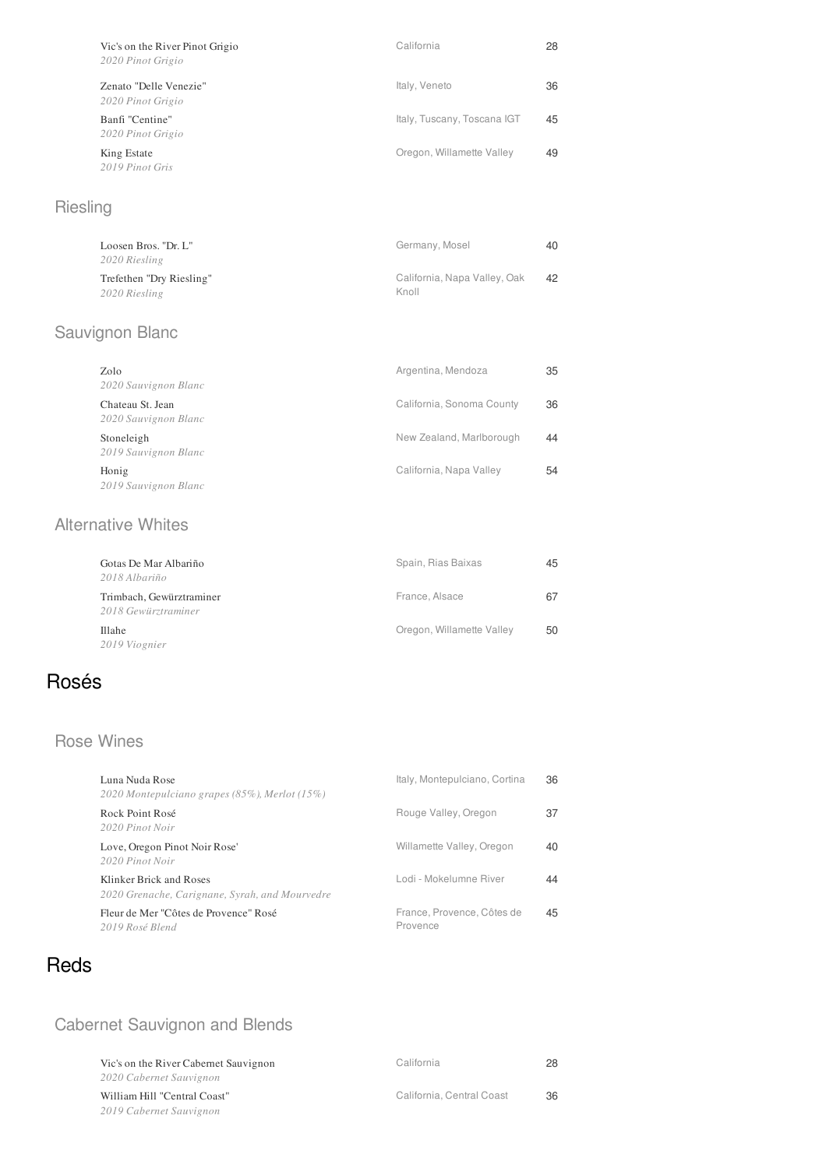| Vic's on the River Pinot Grigio<br>2020 Pinot Grigio | California                  | 28 |
|------------------------------------------------------|-----------------------------|----|
| Zenato "Delle Venezie"<br>2020 Pinot Grigio          | Italy, Veneto               | 36 |
| Banfi "Centine"<br>2020 Pinot Grigio                 | Italy, Tuscany, Toscana IGT | 45 |
| King Estate<br>2019 Pinot Gris                       | Oregon, Willamette Valley   | 49 |

## Riesling

| Loosen Bros. "Dr. L"<br>2020 Riesling     | Germany, Mosel                        | 40. |
|-------------------------------------------|---------------------------------------|-----|
| Trefethen "Dry Riesling"<br>2020 Riesling | California, Napa Valley, Oak<br>Knoll | 42  |

## Sauvignon Blanc

| Zolo<br>2020 Sauvignon Blanc             | Argentina, Mendoza        | 35 |
|------------------------------------------|---------------------------|----|
| Chateau St. Jean<br>2020 Sauvignon Blanc | California, Sonoma County | 36 |
| Stoneleigh<br>2019 Sauvignon Blanc       | New Zealand, Marlborough  | 44 |
| Honig<br>2019 Sauvignon Blanc            | California, Napa Valley   | 54 |

### Alternative Whites

| Gotas De Mar Albariño<br>2018 Albariño          | Spain, Rias Baixas        | 45 |
|-------------------------------------------------|---------------------------|----|
| Trimbach, Gewürztraminer<br>2018 Gewürztraminer | France, Alsace            | 67 |
| <b>Illahe</b><br>2019 Viognier                  | Oregon, Willamette Valley | 50 |

## Rosés

### Rose Wines

| Luna Nuda Rose<br>2020 Montepulciano grapes (85%), Merlot (15%)           | Italy, Montepulciano, Cortina          | 36 |
|---------------------------------------------------------------------------|----------------------------------------|----|
| Rock Point Rosé<br>2020 Pinot Noir                                        | Rouge Valley, Oregon                   | 37 |
| Love, Oregon Pinot Noir Rose'<br>2020 Pinot Noir                          | Willamette Valley, Oregon              | 40 |
| Klinker Brick and Roses<br>2020 Grenache, Carignane, Syrah, and Mourvedre | Lodi - Mokelumne River                 | 44 |
| Fleur de Mer "Côtes de Provence" Rosé<br>2019 Rosé Blend                  | France, Provence, Côtes de<br>Provence | 45 |

## Reds

## Cabernet Sauvignon and Blends

*2019 Cabernet Sauvignon*

| Vic's on the River Cabernet Sauvignon | California                | 28 |
|---------------------------------------|---------------------------|----|
| 2020 Cabernet Sauvignon               |                           |    |
| William Hill "Central Coast"          | California. Central Coast | 36 |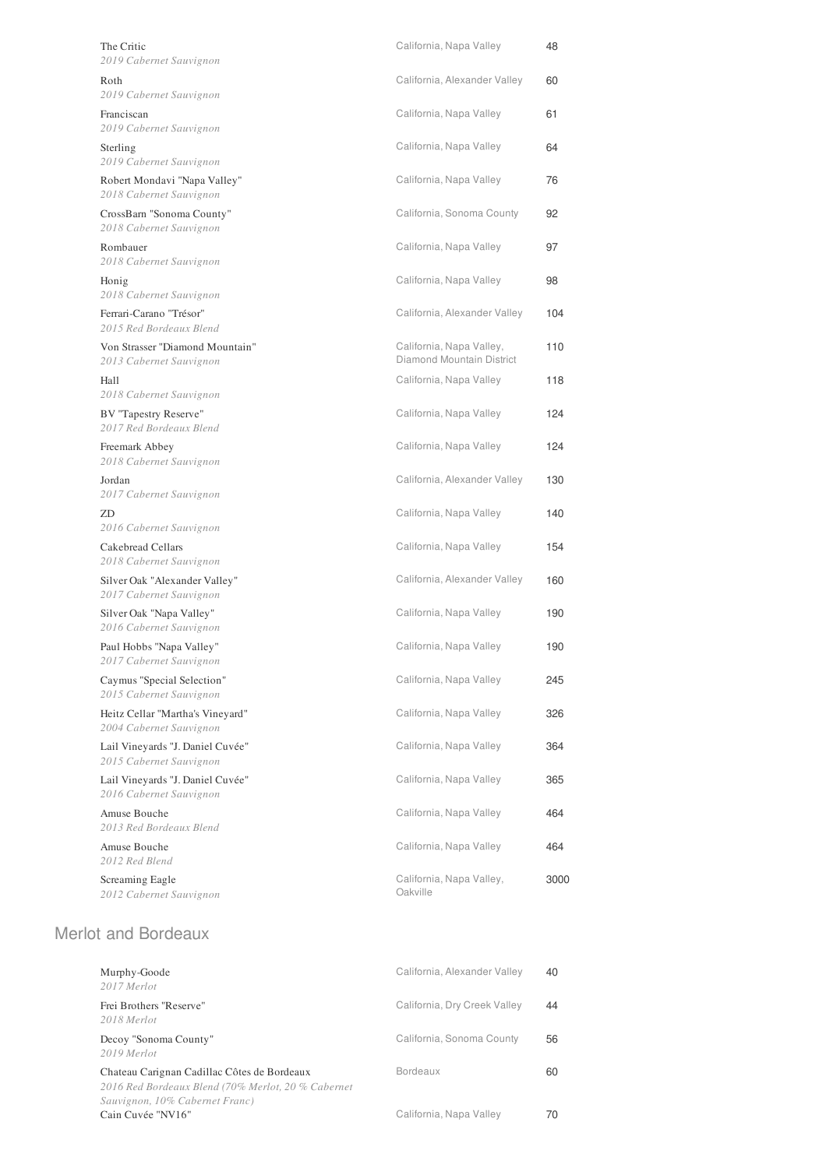| The Critic<br>2019 Cabernet Sauvignon                       | California, Napa Valley                               | 48   |
|-------------------------------------------------------------|-------------------------------------------------------|------|
| Roth<br>2019 Cabernet Sauvignon                             | California, Alexander Valley                          | 60   |
| Franciscan<br>2019 Cabernet Sauvignon                       | California, Napa Valley                               | 61   |
| Sterling<br>2019 Cabernet Sauvignon                         | California, Napa Valley                               | 64   |
| Robert Mondavi "Napa Valley"<br>2018 Cabernet Sauvignon     | California, Napa Valley                               | 76   |
| CrossBarn "Sonoma County"<br>2018 Cabernet Sauvignon        | California, Sonoma County                             | 92   |
| Rombauer<br>2018 Cabernet Sauvignon                         | California, Napa Valley                               | 97   |
| Honig<br>2018 Cabernet Sauvignon                            | California, Napa Valley                               | 98   |
| Ferrari-Carano "Trésor"<br>2015 Red Bordeaux Blend          | California, Alexander Valley                          | 104  |
| Von Strasser "Diamond Mountain"<br>2013 Cabernet Sauvignon  | California, Napa Valley,<br>Diamond Mountain District | 110  |
| Hall<br>2018 Cabernet Sauvignon                             | California, Napa Valley                               | 118  |
| BV "Tapestry Reserve"<br>2017 Red Bordeaux Blend            | California, Napa Valley                               | 124  |
| Freemark Abbey<br>2018 Cabernet Sauvignon                   | California, Napa Valley                               | 124  |
| Jordan<br>2017 Cabernet Sauvignon                           | California, Alexander Valley                          | 130  |
| ZD<br>2016 Cabernet Sauvignon                               | California, Napa Valley                               | 140  |
| Cakebread Cellars<br>2018 Cabernet Sauvignon                | California, Napa Valley                               | 154  |
| Silver Oak "Alexander Valley"<br>2017 Cabernet Sauvignon    | California, Alexander Valley                          | 160  |
| Silver Oak "Napa Valley"<br>2016 Cabernet Sauvignon         | California, Napa Valley                               | 190  |
| Paul Hobbs "Napa Valley"<br>2017 Cabernet Sauvignon         | California, Napa Valley                               | 190  |
| Caymus "Special Selection"<br>2015 Cabernet Sauvignon       | California, Napa Valley                               | 245  |
| Heitz Cellar "Martha's Vineyard"<br>2004 Cabernet Sauvignon | California, Napa Valley                               | 326  |
| Lail Vineyards "J. Daniel Cuvée"<br>2015 Cabernet Sauvignon | California, Napa Valley                               | 364  |
| Lail Vineyards "J. Daniel Cuvée"<br>2016 Cabernet Sauvignon | California, Napa Valley                               | 365  |
| Amuse Bouche<br>2013 Red Bordeaux Blend                     | California, Napa Valley                               | 464  |
| Amuse Bouche<br>2012 Red Blend                              | California, Napa Valley                               | 464  |
| Screaming Eagle<br>2012 Cabernet Sauvignon                  | California, Napa Valley,<br>Oakville                  | 3000 |
| <b>Merlot and Bordeaux</b>                                  |                                                       |      |
| Murphy-Goode<br>2017 Merlot                                 | California, Alexander Valley                          | 40   |
| Frei Brothers "Reserve"<br>2018 Merlot                      | California, Dry Creek Valley                          | 44   |
| Decoy "Sonoma County"<br>2019 Merlot                        | California, Sonoma County                             | 56   |
| Chateau Carignan Cadillac Côtes de Bordeaux                 | Bordeaux                                              | 60   |

*2016 Red Bordeaux Blend (70% Merlot, 20 % Cabernet*

*Sauvignon, 10% Cabernet Franc)*

Cain Cuvée "NV16"

California, Napa Valley 70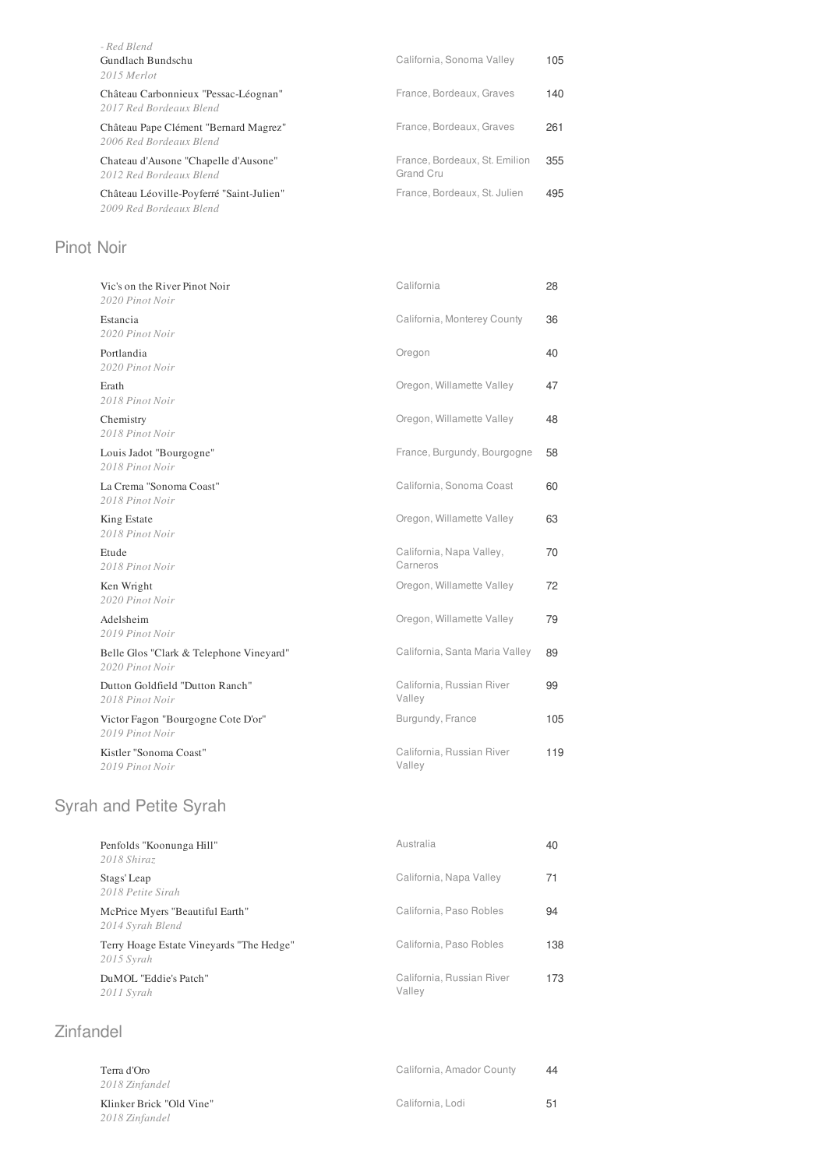| - Red Blend<br>Gundlach Bundschu<br>2015 Merlot                     | California, Sonoma Valley                  | 105 |
|---------------------------------------------------------------------|--------------------------------------------|-----|
| Château Carbonnieux "Pessac-Léognan"<br>2017 Red Bordeaux Blend     | France, Bordeaux, Graves                   | 140 |
| Château Pape Clément "Bernard Magrez"<br>2006 Red Bordeaux Blend    | France, Bordeaux, Graves                   | 261 |
| Chateau d'Ausone "Chapelle d'Ausone"<br>2012 Red Bordeaux Blend     | France, Bordeaux, St. Emilion<br>Grand Cru | 355 |
| Château Léoville-Poyferré "Saint-Julien"<br>2009 Red Bordeaux Blend | France, Bordeaux, St. Julien               | 495 |

### Pinot Noir

| Vic's on the River Pinot Noir<br>2020 Pinot Noir           | California                           | 28  |
|------------------------------------------------------------|--------------------------------------|-----|
| Estancia<br>2020 Pinot Noir                                | California, Monterey County          | 36  |
| Portlandia<br>2020 Pinot Noir                              | Oregon                               | 40  |
| Erath<br>2018 Pinot Noir                                   | Oregon, Willamette Valley            | 47  |
| Chemistry<br>2018 Pinot Noir                               | Oregon, Willamette Valley            | 48  |
| Louis Jadot "Bourgogne"<br>2018 Pinot Noir                 | France, Burgundy, Bourgogne          | 58  |
| La Crema "Sonoma Coast"<br>2018 Pinot Noir                 | California, Sonoma Coast             | 60  |
| King Estate<br>2018 Pinot Noir                             | Oregon, Willamette Valley            | 63  |
| Etude<br>2018 Pinot Noir                                   | California, Napa Valley,<br>Carneros | 70  |
| Ken Wright<br>2020 Pinot Noir                              | Oregon, Willamette Valley            | 72  |
| Adelsheim<br>2019 Pinot Noir                               | Oregon, Willamette Valley            | 79  |
| Belle Glos "Clark & Telephone Vineyard"<br>2020 Pinot Noir | California, Santa Maria Valley       | 89  |
| Dutton Goldfield "Dutton Ranch"<br>2018 Pinot Noir         | California, Russian River<br>Valley  | 99  |
| Victor Fagon "Bourgogne Cote D'or"<br>2019 Pinot Noir      | Burgundy, France                     | 105 |
| Kistler "Sonoma Coast"<br>2019 Pinot Noir                  | California, Russian River<br>Valley  | 119 |

# Syrah and Petite Syrah

| Penfolds "Koonunga Hill"<br>2018 Shiraz                  | Australia                           | 40  |
|----------------------------------------------------------|-------------------------------------|-----|
| Stags' Leap<br>2018 Petite Sirah                         | California, Napa Valley             | 71  |
| McPrice Myers "Beautiful Earth"<br>2014 Syrah Blend      | California, Paso Robles             | 94  |
| Terry Hoage Estate Vineyards "The Hedge"<br>$2015$ Syrah | California, Paso Robles             | 138 |
| DuMOL "Eddie's Patch"<br>2011 Syrah                      | California, Russian River<br>Valley | 173 |

## Zinfandel

| Terra d'Oro<br>2018 Zinfandel              | California, Amador County | 44 |
|--------------------------------------------|---------------------------|----|
| Klinker Brick "Old Vine"<br>2018 Zinfandel | California, Lodi          | 51 |